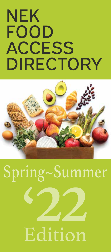## **NEK** FOOD **ACCESS DIRECTORY**



# Spring~Summer Edition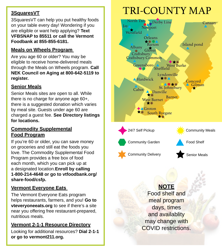#### **3SquaresVT**

3SquaresVT can help you put healthy foods on your table every day! Wondering if you are eligible or want help applying? **Text VFBSNAP to 85511 or call the Vermont Foodbank at 855-855-6181.** 

#### **Meals on Wheels Program**

Are you age 60 or older? You may be eligible to receive home-delivered meals through the Meals on Wheels program. **Call NEK Council on Aging at 800-642-5119 to register.** 

#### **Senior Meals**

Senior Meals sites are open to all. While there is no charge for anyone age 60+, there is a suggested donation which varies by meal site. Guests under age 60 are charged a guest fee. **See Directory listings for locations.**

#### **Commodity Supplemental Food Program**

If you're 60 or older, you can save money on groceries and still eat the foods you love. The Commodity Supplemental Food Program provides a free box of food each month, which you can pick up at a designated location.**Enroll by calling 1-800-214-4648 or go to vtfoodbank.org/ share-food/csfp.**

#### **Vermont Everyone Eats**

The Vermont Everyone Eats program helps restaurants, farmers, and you! **Go to vteveryoneeats.org** to see if there's a site near you offering free restaurant-prepared, nutritious meals.

#### **Vermont 2-1-1 Resource Directory**

Looking for additional resources? **Dial 2-1-1 or go to vermont211.org.**

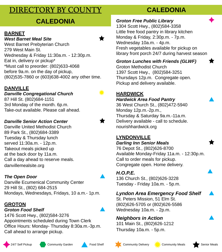## DIRECTORY BY COUNTY

#### **BARNET**

#### *West Barnet Meal Site*

West Barnet Prebyterian Church 279 West Main St. Wednesday & Friday 11:30a.m. - 12:30p.m. Eat in, delivery or pickup\* \*Must call to preorder: (802)633-4068 before 9a.m. on the day of pickup, (802)535-7860 or (603)638-4002 any other time.

#### **DANVILLE**

*Danville Congregational Church* 87 Hill St. (802)684-1151 3rd Monday of the month. 6p.m. Take-out available. Please call ahead.

#### *Danville Senior Action Center*

Danville United Methodist Church 89 Park St., (802)684-3389 Tuesday & Thursday lunch served 11:30a.m. - 12p.m. Takeout meals picked up at the back door by 11a.m. Call a day ahead to reserve meals. danvillemealsite.org

#### *The Open Door*

Danville Ecumenical Community Center 29 Hill St., (802) 684-2515 Mondays, Wednesdays, Fridays, 10 a.m.- 1p.m.

#### **GROTON**

#### *Groton Food Shelf*

1476 Scott Hwy., (802)584-3276 Appointments scheduled during Town Clerk Office Hours: Monday- Thursday 8:30a.m.-3p.m. Call ahead to arrange pickup.



#### **CALEDONIA** *Groton Free Public Library*

1304 Scott Hwy., (802)584-3358 Little free food pantry in library kitchen Monday & Friday, 2:30p.m. - 7p.m. Wednesday 10a.m. - 4p.m. Fresh vegetables available for pickup on library front porch 24/7 during harvest season

#### *Groton Lunches with Friends (GLWF)*

Groton Methodist Church 1397 Scott Hwy., (802)584-3251 Thursdays 12p.m. Congregate open. Pickup and delivery available.

#### **Hardwick**

#### *Hardwick Area Food Pantry*

36 West Church St., (802)472-5940 Monday 12p.m.-2p.m., Thursday & Saturday 9a.m.-11a.m. Delivery available - call to schedule. nourishhardwick.org

#### **Lyndonville**

#### *Darling Inn Senior Meals*

76 Depot St., (802)626-8700 Available Monday-Friday 11a.m. - 12:30p.m. Call to order meals for pickup. Congregate open. Home delivery.

#### *H.O.P.E.*

136 Church St., (802)626-3228 Tuesday - Friday 10a.m. - 5p.m.

#### *Lyndon Area Emergency Food Shelf*

St. Peters Mission, 51 Elm St. (802)626-5705 or (802)626-5586 Wednesday 10a.m. - 2p.m.

#### *Neighbors in Action*

101 Main St., (802)626-1212 Thursday 10a.m. - 5p.m.











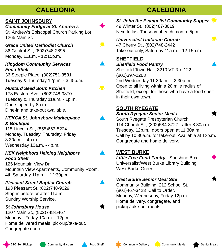## **CALEDONIA**

#### **Saint Johnsbury**

*Community Fridge at St. Andrew's*

St. Andrew's Episcopal Church Parking Lot 1265 Main St.

*Grace United Methodist Church*

36 Central St., (802)748-2895 Monday, 11a.m. - 12:15p.m.

#### *Kingdom Community Services Food Shelf*

36 Steeple Place, (802)751-8581 Tuesday & Thursday 12p.m. - 3:45p.m.

#### *Mustard Seed Soup Kitchen*

178 Eastern Ave., (802)748-9870 Tuesday & Thursday 11a.m. - 1p.m. Doors open by 8a.m. Dine-in and take-out available.

#### *NEKCA St. Johnsbury Marketplace & Boutique*

115 Lincoln St., (855)663-5224 Monday, Tuesday, Thursday, Friday 8:30a.m. - 4p.m. Wednesday 10a.m. - 4p.m.

#### *NEK Neighbors Helping Neighbors Food Shelf*

125 Mountain View Dr. Mountain View Apartments, Community Room. 4th Saturday 11a.m. - 12:30p.m.

#### *Pleasant Street Baptist Church*

193 Pleasant St. (802)748-9029 Stop in before or after 11a.m. Sunday Worship Service.

#### *St Johnsbury House*

1207 Main St., (802)748-5467 Monday - Friday 10a.m. - 12p.m. Home delivered meals, pick-up/take-out. Congregate open.

## **CALEDONIA**

*St. John the Evangelist Community Supper* 49 Winter St., (802)467-3019 Next to last Tuesday of each month, 5p.m.

#### *Universalist Unitarian Church*

47 Cherry St., (802)748-2442 Take-out only, Saturday 11a.m. - 12:15p.m.

#### **Sheffield**

#### *Sheffield Food Pantry*

Sheffield Town Hall, 3210 VT Rte 122 (802)397-2263 2nd Wednesday 11:30a.m. - 2:30p.m. Open to all living within a 20 mile radius of Sheffield, except for those who have a food shelf in their own town.

#### **South Ryegate**

#### *South Ryegate Senior Meals*

South Ryegate Presbyterian Church 114 Church St., (802)584-3727 - after 8:30a.m. Tuesday, 12p.m., doors open at 11:30a.m. Call by 10:30a.m. for take-out. Available at 12p.m. Congregate and home delivery.

#### **West Burke**

*Little Free Food Pantry* - Sunshine Box Universalist/West Burke Library Building West Burke Green

#### *West Burke Senior Meal Site*

Community Building, 212 School St., (802)467-3423 Call to Order. Monday, Wednesday, Friday 12p.m. Home delivery, congregate, and pickup/take-out meals

















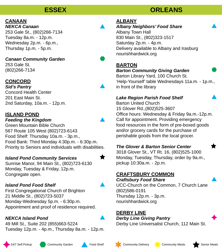#### **ESSEX**

### **Canaan**

*NEKCA Canaan* 253 Gale St., (802)266-7134 Tuesday 8a.m. - 12p.m. Wednesday 2p.m. - 6p.m., Thursday 1p.m. - 5p.m.

*Canaan Community Garden* 253 Gale St. (802)266-7134

#### **CONCORD**

*Sid's Pantry* Concord Health Center 201 East Main St. 2nd Saturday, 10a.m. - 12p.m.

#### **Island Pond**

#### *Feeding the Kingdom*

Green Mountain Bible Church 567 Route 105 West (802)723-6143 Food Shelf: Thursday 10a.m. - 3p.m., Food Bank: Third Monday 4:30p.m. - 6:30p.m. Priority to Seniors and individuals with disabilities.

#### *Island Pond Community Services*

Sunrise Manor, 94 Main St., (802)723-6130 Monday, Tuesday & Friday, 12p.m. Congregate open.

#### *Island Pond Food Shelf*

First Congregational Church of Brighton 21 Middle St., (802)723-5037 Monday-Wednesday 5p.m. - 6:30p.m. Appointment and proof of residence required.

#### *NEKCA Island Pond*

49 Mill St., Suite 202 (855)663-5224 Tuesday 12p.m. - 4p.m., Thursday 8a.m. - 12p.m.

#### **Albany**

*Albany Neighbors' Food Share* Albany Town Hall 830 Main St., (802)323-1517 Saturday 2p.m. - 4p.m. Delivery available to Albany and Irasburg nourishhardwick.org

#### **Barton**

#### *Barton Community Giving Garden*

Barton Library Yard, 100 Church St. 'Help-Yourself' table Wednesdays 11a.m. - 1p.m., in front of the library

#### *Lake Region Parish Food Shelf*

Barton United Church 15 Glover Rd.,(802)525-3607 Office hours: Wednesday & Friday 9a.m.-12p.m. Call for appointment. Providing emergency food resources in the form of pre-boxed goods and/or grocery cards for the purchase of perishable goods from the local grocer.

#### *The Glover & Barton Senior Center*

3018 Glover St., VT Rt. 16, (802)525-1000 Monday, Tuesday, Thursday, order by 9a.m., pickup 10:30a.m. - 2p.m.

#### **Craftsbury Common**

*Craftsbury Food Share* UCC-Church on the Common, 7 Church Lane (802)586-0191 Thursday 12p.m. - 3p.m. nourishhardwick.org

#### **Derby Line**

*Derby Line Giving Pantry* Derby Line Universalist Church, 112 Main St.





## **ORLEANS**





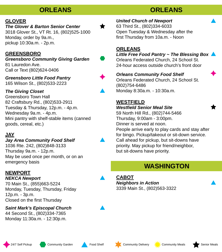#### **ORLEANS**

#### **Glover**

#### *The Glover & Barton Senior Center*

3018 Glover St., VT Rt. 16, (802)525-1000 Monday, order by 9a.m., pickup 10:30a.m. - 2p.m.

#### **Greensboro**

*Greensboro Community Giving Garden* 81 Lauredon Ave. Call or Text (802)624-0406

*Greensboro Little Food Pantry* 165 Wilson St., (802)533-2223

#### *The Giving Closet*

Greensboro Town Hall 82 Craftsbury Rd., (802)533-2911 Tuesday & Thursday, 12p.m. - 4p.m. Wednesday 9a.m. - 4p.m. Mini pantry with shelf-stable items (canned goods, cereal, etc.)

#### **Jay**

#### *Jay Area Community Food Shelf*

1036 Rte. 242, (802)848-3133 Thursday 9a.m. - 12p.m. May be used once per month, or on an emergency basis

#### **Newport**

#### *NEKCA Newport*

70 Main St., (855)663-5224 Monday, Tuesday, Thursday, Friday 12p.m. - 3p.m. Closed on the first Thursday

*Saint Mark's Episcopal Church* 44 Second St., (802)334-7365

Monday 11:30a.m. - 12:30p.m.

*United Church of Newport* 63 Third St., (802)334-6033 Open Tuesday & Wednesday after the first Thursday from 10a.m. - Noon

#### **Orleans**

#### *Little Free Food Pantry ~ The Blessing Box*

Orleans Federated Church, 24 School St. 24-hour access outside church's front door

#### *Orleans Community Food Shelf*

Orleans Federated Church, 24 School St. (802)754-6486 Monday 8:30a.m. - 10:30a.m.

#### **Westfield**

#### *Westfield Senior Meal Site*

59 North Hill Rd., (802)744-5466 Thursday, 9:00am - 3:00pm. Dinner is served at noon. People arrive early to play cards and stay after for bingo. Pickup/takeout or sit-down service.

Call ahead for pickup, but sit-downs have priority. May pickup for friend/neighbor, but sit-downs have priority.

#### **WASHINGTON**

**Cabot** *Neighbors in Action* 3339 Main St., (802)563-3322













★